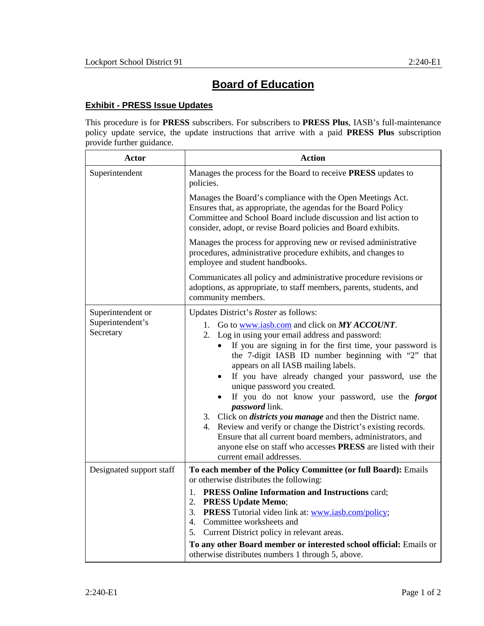## **Board of Education**

## **Exhibit - PRESS Issue Updates**

This procedure is for **PRESS** subscribers. For subscribers to **PRESS Plus**, IASB's full-maintenance policy update service, the update instructions that arrive with a paid **PRESS Plus** subscription provide further guidance.

| Actor                         | <b>Action</b>                                                                                                                                                                                                                                                                                                                                                                                                                                                                                                                                                                                                                                                                                                                                                   |
|-------------------------------|-----------------------------------------------------------------------------------------------------------------------------------------------------------------------------------------------------------------------------------------------------------------------------------------------------------------------------------------------------------------------------------------------------------------------------------------------------------------------------------------------------------------------------------------------------------------------------------------------------------------------------------------------------------------------------------------------------------------------------------------------------------------|
| Superintendent                | Manages the process for the Board to receive PRESS updates to<br>policies.                                                                                                                                                                                                                                                                                                                                                                                                                                                                                                                                                                                                                                                                                      |
|                               | Manages the Board's compliance with the Open Meetings Act.<br>Ensures that, as appropriate, the agendas for the Board Policy<br>Committee and School Board include discussion and list action to<br>consider, adopt, or revise Board policies and Board exhibits.                                                                                                                                                                                                                                                                                                                                                                                                                                                                                               |
|                               | Manages the process for approving new or revised administrative<br>procedures, administrative procedure exhibits, and changes to<br>employee and student handbooks.                                                                                                                                                                                                                                                                                                                                                                                                                                                                                                                                                                                             |
|                               | Communicates all policy and administrative procedure revisions or<br>adoptions, as appropriate, to staff members, parents, students, and<br>community members.                                                                                                                                                                                                                                                                                                                                                                                                                                                                                                                                                                                                  |
| Superintendent or             | Updates District's Roster as follows:                                                                                                                                                                                                                                                                                                                                                                                                                                                                                                                                                                                                                                                                                                                           |
| Superintendent's<br>Secretary | 1. Go to www.iasb.com and click on MY ACCOUNT.<br>2. Log in using your email address and password:<br>If you are signing in for the first time, your password is<br>$\bullet$<br>the 7-digit IASB ID number beginning with "2" that<br>appears on all IASB mailing labels.<br>If you have already changed your password, use the<br>$\bullet$<br>unique password you created.<br>If you do not know your password, use the forgot<br><i>password</i> link.<br>3. Click on <i>districts you manage</i> and then the District name.<br>4. Review and verify or change the District's existing records.<br>Ensure that all current board members, administrators, and<br>anyone else on staff who accesses PRESS are listed with their<br>current email addresses. |
| Designated support staff      | To each member of the Policy Committee (or full Board): Emails<br>or otherwise distributes the following:                                                                                                                                                                                                                                                                                                                                                                                                                                                                                                                                                                                                                                                       |
|                               | <b>PRESS Online Information and Instructions card;</b><br>1.<br>2. PRESS Update Memo;<br>3. PRESS Tutorial video link at: www.iasb.com/policy;<br>4. Committee worksheets and<br>5. Current District policy in relevant areas.<br>To any other Board member or interested school official: Emails or<br>otherwise distributes numbers 1 through 5, above.                                                                                                                                                                                                                                                                                                                                                                                                       |